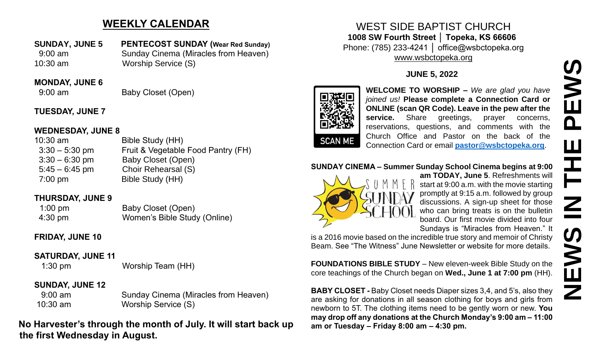# **WEEKLY CALENDAR**

**SUNDAY, JUNE 5 PENTECOST SUNDAY (Wear Red Sunday)** 9:00 am Sunday Cinema (Miracles from Heaven) 10:30 am Worship Service (S)

#### **MONDAY, JUNE 6**

9:00 am Baby Closet (Open)

#### **TUESDAY, JUNE 7**

#### **WEDNESDAY, JUNE 8**

10:30 am Bible Study (HH) 3:30 – 5:30 pm Fruit & Vegetable Food Pantry (FH) 3:30 – 6:30 pm Baby Closet (Open) 5:45 – 6:45 pm Choir Rehearsal (S) 7:00 pm Bible Study (HH)

#### **THURSDAY, JUNE 9**

| $1:00 \text{ pm}$ | Baby Closet (Open)           |
|-------------------|------------------------------|
| $4:30 \text{ pm}$ | Women's Bible Study (Online) |

## **FRIDAY, JUNE 10**

## **SATURDAY, JUNE 11**

1:30 pm Worship Team (HH)

## **SUNDAY, JUNE 12**

 9:00 am Sunday Cinema (Miracles from Heaven) 10:30 am Worship Service (S)

**No Harvester's through the month of July. It will start back up the first Wednesday in August.**

## WEST SIDE BAPTIST CHURCH **1008 SW Fourth Street │ Topeka, KS 66606** Phone: (785) 233-4241 │ office@wsbctopeka.org [www.wsbctopeka.org](http://www.wsbctopeka.org/)

#### **JUNE 5, 2022**



**WELCOME TO WORSHIP –** *We are glad you have joined us!* **Please complete a Connection Card or ONLINE (scan QR Code). Leave in the pew after the**  service. Share greetings, prayer concerns, reservations, questions, and comments with the Church Office and Pastor on the back of the Connection Card or email **[pastor@wsbctopeka.org](mailto:pastor@wsbctopeka.org)**.

#### **SUNDAY CINEMA – Summer Sunday School Cinema begins at 9:00**



**am TODAY, June 5**. Refreshments will start at 9:00 a.m. with the movie starting promptly at 9:15 a.m. followed by group discussions. A sign-up sheet for those who can bring treats is on the bulletin board. Our first movie divided into four Sundays is "Miracles from Heaven." It

is a 2016 movie based on the incredible true story and memoir of Christy Beam. See "The Witness" June Newsletter or website for more details.

**FOUNDATIONS BIBLE STUDY** – New eleven-week Bible Study on the core teachings of the Church began on **Wed., June 1 at 7:00 pm** (HH).

**BABY CLOSET -** Baby Closet needs Diaper sizes 3,4, and 5's, also they are asking for donations in all season clothing for boys and girls from newborn to 5T. The clothing items need to be gently worn or new. **You may drop off any donations at the Church Monday's 9:00 am – 11:00 am or Tuesday – Friday 8:00 am – 4:30 pm.**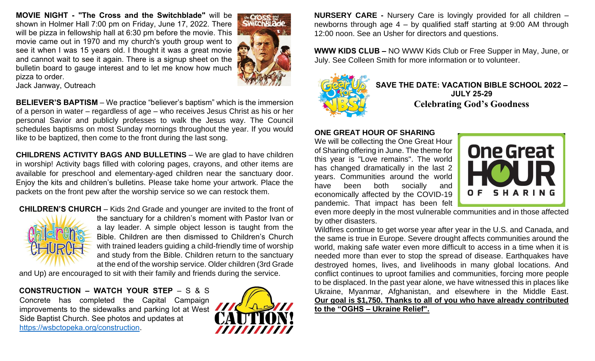**MOVIE NIGHT - "The Cross and the Switchblade"** will be shown in Holmer Hall 7:00 pm on Friday, June 17, 2022. There will be pizza in fellowship hall at 6:30 pm before the movie. This movie came out in 1970 and my church's youth group went to see it when I was 15 years old. I thought it was a great movie and cannot wait to see it again. There is a signup sheet on the bulletin board to gauge interest and to let me know how much pizza to order.



Jack Janway, Outreach

**BELIEVER'S BAPTISM** – We practice "believer's baptism" which is the immersion of a person in water – regardless of age – who receives Jesus Christ as his or her personal Savior and publicly professes to walk the Jesus way. The Council schedules baptisms on most Sunday mornings throughout the year. If you would like to be baptized, then come to the front during the last song.

**CHILDRENS ACTIVITY BAGS AND BULLETINS** – We are glad to have children in worship! Activity bags filled with coloring pages, crayons, and other items are available for preschool and elementary-aged children near the sanctuary door. Enjoy the kits and children's bulletins. Please take home your artwork. Place the packets on the front pew after the worship service so we can restock them.





the sanctuary for a children's moment with Pastor Ivan or a lay leader. A simple object lesson is taught from the Bible. Children are then dismissed to Children's Church with trained leaders guiding a child-friendly time of worship and study from the Bible. Children return to the sanctuary at the end of the worship service. Older children (3rd Grade

and Up) are encouraged to sit with their family and friends during the service.

**CONSTRUCTION – WATCH YOUR STEP** – S & S Concrete has completed the Capital Campaign improvements to the sidewalks and parking lot at West Side Baptist Church. See photos and updates at [https://wsbctopeka.org/construction.](https://wsbctopeka.org/construction)



**NURSERY CARE -** Nursery Care is lovingly provided for all children – newborns through age 4 – by qualified staff starting at 9:00 AM through 12:00 noon. See an Usher for directors and questions.

**WWW KIDS CLUB –** NO WWW Kids Club or Free Supper in May, June, or July. See Colleen Smith for more information or to volunteer.



**SAVE THE DATE: VACATION BIBLE SCHOOL 2022 – JULY 25-29 Celebrating God's Goodness**

#### **ONE GREAT HOUR OF SHARING**

We will be collecting the One Great Hour of Sharing offering in June. The theme for this year is "Love remains". The world has changed dramatically in the last 2 years. Communities around the world have been both socially and economically affected by the COVID-19 pandemic. That impact has been felt



even more deeply in the most vulnerable communities and in those affected by other disasters.

Wildfires continue to get worse year after year in the U.S. and Canada, and the same is true in Europe. Severe drought affects communities around the world, making safe water even more difficult to access in a time when it is needed more than ever to stop the spread of disease. Earthquakes have destroyed homes, lives, and livelihoods in many global locations. And conflict continues to uproot families and communities, forcing more people to be displaced. In the past year alone, we have witnessed this in places like Ukraine, Myanmar, Afghanistan, and elsewhere in the Middle East. **Our goal is \$1,750. Thanks to all of you who have already contributed to the "OGHS – Ukraine Relief".**